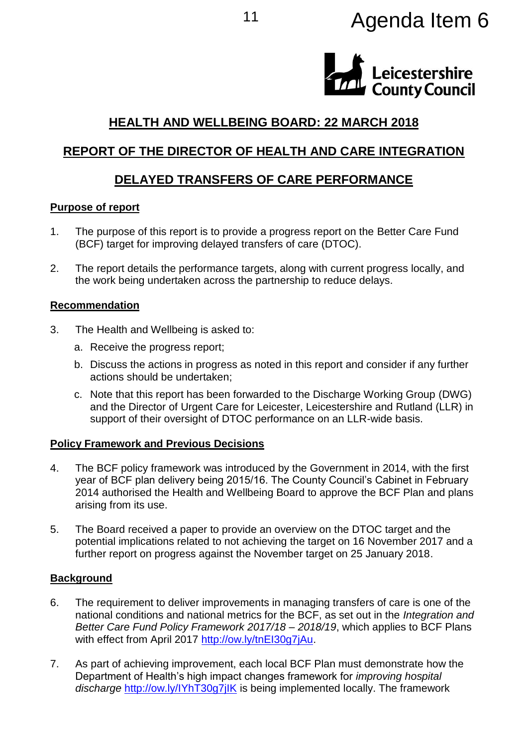# <sup>11</sup> Agenda Item 6



# **HEALTH AND WELLBEING BOARD: 22 MARCH 2018**

## **REPORT OF THE DIRECTOR OF HEALTH AND CARE INTEGRATION**

## **DELAYED TRANSFERS OF CARE PERFORMANCE**

#### **Purpose of report**

- 1. The purpose of this report is to provide a progress report on the Better Care Fund (BCF) target for improving delayed transfers of care (DTOC).
- 2. The report details the performance targets, along with current progress locally, and the work being undertaken across the partnership to reduce delays.

#### **Recommendation**

- 3. The Health and Wellbeing is asked to:
	- a. Receive the progress report;
	- b. Discuss the actions in progress as noted in this report and consider if any further actions should be undertaken;
	- c. Note that this report has been forwarded to the Discharge Working Group (DWG) and the Director of Urgent Care for Leicester, Leicestershire and Rutland (LLR) in support of their oversight of DTOC performance on an LLR-wide basis.

## **Policy Framework and Previous Decisions**

- 4. The BCF policy framework was introduced by the Government in 2014, with the first year of BCF plan delivery being 2015/16. The County Council's Cabinet in February 2014 authorised the Health and Wellbeing Board to approve the BCF Plan and plans arising from its use.
- 5. The Board received a paper to provide an overview on the DTOC target and the potential implications related to not achieving the target on 16 November 2017 and a further report on progress against the November target on 25 January 2018.

## **Background**

- 6. The requirement to deliver improvements in managing transfers of care is one of the national conditions and national metrics for the BCF, as set out in the *Integration and Better Care Fund Policy Framework 2017/18 – 2018/19*, which applies to BCF Plans with effect from April 2017 [http://ow.ly/tnEI30g7jAu.](http://ow.ly/tnEI30g7jAu)
- 7. As part of achieving improvement, each local BCF Plan must demonstrate how the Department of Health's high impact changes framework for *improving hospital discharge* <http://ow.ly/IYhT30g7jIK> is being implemented locally. The framework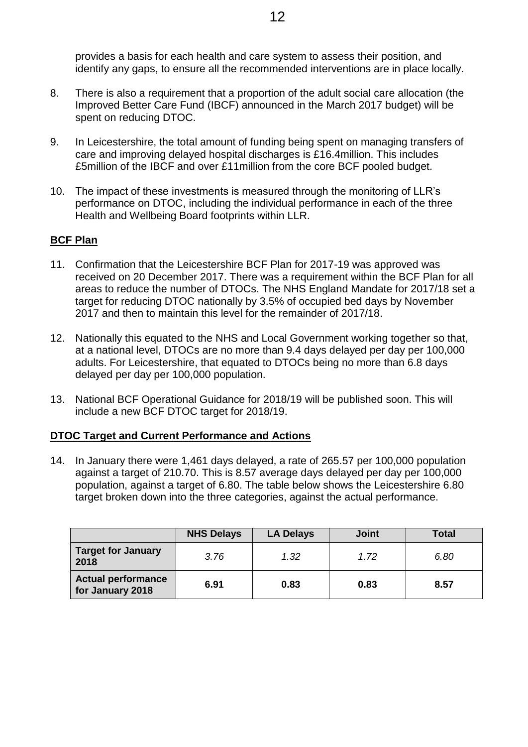provides a basis for each health and care system to assess their position, and identify any gaps, to ensure all the recommended interventions are in place locally.

- 8. There is also a requirement that a proportion of the adult social care allocation (the Improved Better Care Fund (IBCF) announced in the March 2017 budget) will be spent on reducing DTOC.
- 9. In Leicestershire, the total amount of funding being spent on managing transfers of care and improving delayed hospital discharges is £16.4million. This includes £5million of the IBCF and over £11million from the core BCF pooled budget.
- 10. The impact of these investments is measured through the monitoring of LLR's performance on DTOC, including the individual performance in each of the three Health and Wellbeing Board footprints within LLR.

#### **BCF Plan**

- 11. Confirmation that the Leicestershire BCF Plan for 2017-19 was approved was received on 20 December 2017. There was a requirement within the BCF Plan for all areas to reduce the number of DTOCs. The NHS England Mandate for 2017/18 set a target for reducing DTOC nationally by 3.5% of occupied bed days by November 2017 and then to maintain this level for the remainder of 2017/18.
- 12. Nationally this equated to the NHS and Local Government working together so that, at a national level, DTOCs are no more than 9.4 days delayed per day per 100,000 adults. For Leicestershire, that equated to DTOCs being no more than 6.8 days delayed per day per 100,000 population.
- 13. National BCF Operational Guidance for 2018/19 will be published soon. This will include a new BCF DTOC target for 2018/19.

#### **DTOC Target and Current Performance and Actions**

14. In January there were 1,461 days delayed, a rate of 265.57 per 100,000 population against a target of 210.70. This is 8.57 average days delayed per day per 100,000 population, against a target of 6.80. The table below shows the Leicestershire 6.80 target broken down into the three categories, against the actual performance.

|                                               | <b>NHS Delays</b> | <b>LA Delays</b> | <b>Joint</b> | Total |
|-----------------------------------------------|-------------------|------------------|--------------|-------|
| <b>Target for January</b><br>2018             | 3.76              | 1.32             | 1.72         | 6.80  |
| <b>Actual performance</b><br>for January 2018 | 6.91              | 0.83             | 0.83         | 8.57  |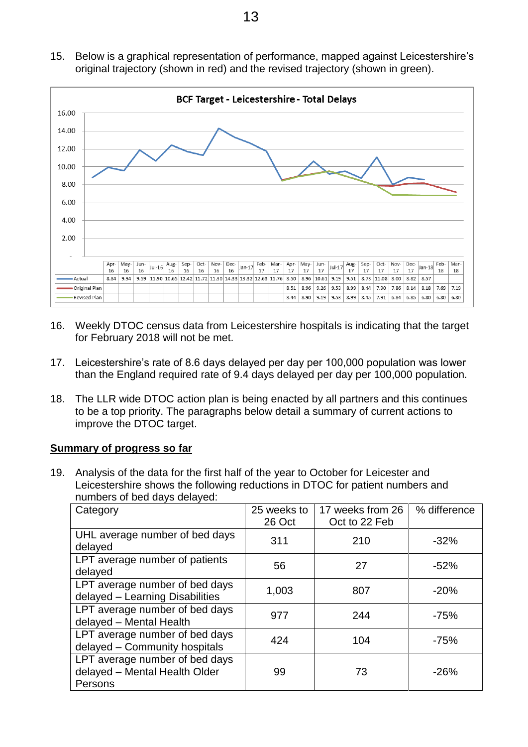15. Below is a graphical representation of performance, mapped against Leicestershire's original trajectory (shown in red) and the revised trajectory (shown in green).



- 16. Weekly DTOC census data from Leicestershire hospitals is indicating that the target for February 2018 will not be met.
- 17. Leicestershire's rate of 8.6 days delayed per day per 100,000 population was lower than the England required rate of 9.4 days delayed per day per 100,000 population.
- 18. The LLR wide DTOC action plan is being enacted by all partners and this continues to be a top priority. The paragraphs below detail a summary of current actions to improve the DTOC target.

#### **Summary of progress so far**

19. Analysis of the data for the first half of the year to October for Leicester and Leicestershire shows the following reductions in DTOC for patient numbers and numbers of bed days delayed:

| Category                                                                   | 25 weeks to | 17 weeks from 26 | % difference |
|----------------------------------------------------------------------------|-------------|------------------|--------------|
|                                                                            | 26 Oct      | Oct to 22 Feb    |              |
| UHL average number of bed days<br>delayed                                  | 311         | 210              | $-32%$       |
| LPT average number of patients<br>delayed                                  | 56          | 27               | $-52%$       |
| LPT average number of bed days<br>delayed - Learning Disabilities          | 1,003       | 807              | $-20%$       |
| LPT average number of bed days<br>delayed - Mental Health                  | 977         | 244              | $-75%$       |
| LPT average number of bed days<br>delayed - Community hospitals            | 424         | 104              | $-75%$       |
| LPT average number of bed days<br>delayed - Mental Health Older<br>Persons | 99          | 73               | $-26%$       |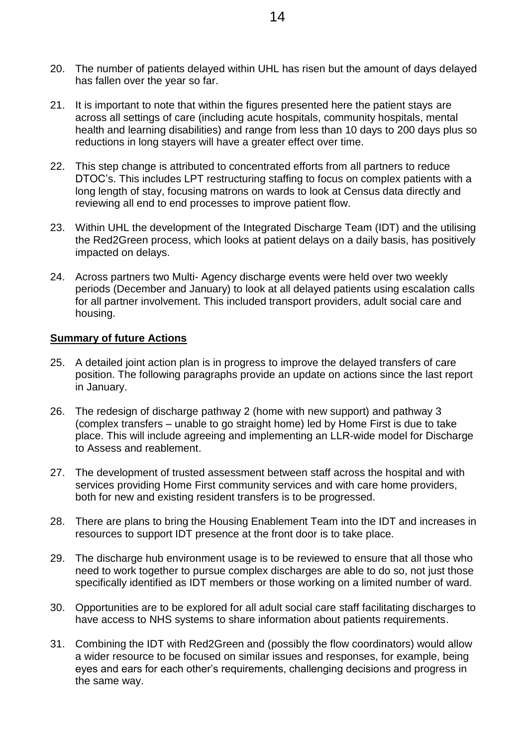- 20. The number of patients delayed within UHL has risen but the amount of days delayed has fallen over the year so far.
- 21. It is important to note that within the figures presented here the patient stays are across all settings of care (including acute hospitals, community hospitals, mental health and learning disabilities) and range from less than 10 days to 200 days plus so reductions in long stayers will have a greater effect over time.
- 22. This step change is attributed to concentrated efforts from all partners to reduce DTOC's. This includes LPT restructuring staffing to focus on complex patients with a long length of stay, focusing matrons on wards to look at Census data directly and reviewing all end to end processes to improve patient flow.
- 23. Within UHL the development of the Integrated Discharge Team (IDT) and the utilising the Red2Green process, which looks at patient delays on a daily basis, has positively impacted on delays.
- 24. Across partners two Multi- Agency discharge events were held over two weekly periods (December and January) to look at all delayed patients using escalation calls for all partner involvement. This included transport providers, adult social care and housing.

#### **Summary of future Actions**

- 25. A detailed joint action plan is in progress to improve the delayed transfers of care position. The following paragraphs provide an update on actions since the last report in January.
- 26. The redesign of discharge pathway 2 (home with new support) and pathway 3 (complex transfers – unable to go straight home) led by Home First is due to take place. This will include agreeing and implementing an LLR-wide model for Discharge to Assess and reablement.
- 27. The development of trusted assessment between staff across the hospital and with services providing Home First community services and with care home providers, both for new and existing resident transfers is to be progressed.
- 28. There are plans to bring the Housing Enablement Team into the IDT and increases in resources to support IDT presence at the front door is to take place.
- 29. The discharge hub environment usage is to be reviewed to ensure that all those who need to work together to pursue complex discharges are able to do so, not just those specifically identified as IDT members or those working on a limited number of ward.
- 30. Opportunities are to be explored for all adult social care staff facilitating discharges to have access to NHS systems to share information about patients requirements.
- 31. Combining the IDT with Red2Green and (possibly the flow coordinators) would allow a wider resource to be focused on similar issues and responses, for example, being eyes and ears for each other's requirements, challenging decisions and progress in the same way.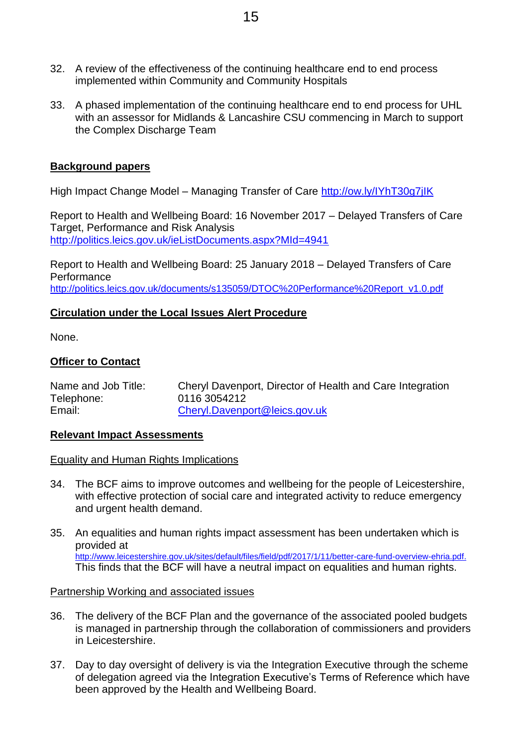- 32. A review of the effectiveness of the continuing healthcare end to end process implemented within Community and Community Hospitals
- 33. A phased implementation of the continuing healthcare end to end process for UHL with an assessor for Midlands & Lancashire CSU commencing in March to support the Complex Discharge Team

#### **Background papers**

High Impact Change Model – Managing Transfer of Care <http://ow.ly/IYhT30g7jIK>

Report to Health and Wellbeing Board: 16 November 2017 – Delayed Transfers of Care Target, Performance and Risk Analysis <http://politics.leics.gov.uk/ieListDocuments.aspx?MId=4941>

Report to Health and Wellbeing Board: 25 January 2018 – Delayed Transfers of Care **Performance** [http://politics.leics.gov.uk/documents/s135059/DTOC%20Performance%20Report\\_v1.0.pdf](http://politics.leics.gov.uk/documents/s135059/DTOC%20Performance%20Report_v1.0.pdf)

#### **Circulation under the Local Issues Alert Procedure**

None.

#### **Officer to Contact**

| Name and Job Title: | Cheryl Davenport, Director of Health and Care Integration |
|---------------------|-----------------------------------------------------------|
| Telephone:          | 0116 3054212                                              |
| Email:              | Cheryl.Davenport@leics.gov.uk                             |

#### **Relevant Impact Assessments**

#### Equality and Human Rights Implications

- 34. The BCF aims to improve outcomes and wellbeing for the people of Leicestershire, with effective protection of social care and integrated activity to reduce emergency and urgent health demand.
- 35. An equalities and human rights impact assessment has been undertaken which is provided at [http://www.leicestershire.gov.uk/sites/default/files/field/pdf/2017/1/11/better-care-fund-overview-ehria.pdf.](http://www.leicestershire.gov.uk/sites/default/files/field/pdf/2017/1/11/better-care-fund-overview-ehria.pdf) This finds that the BCF will have a neutral impact on equalities and human rights.

#### Partnership Working and associated issues

- 36. The delivery of the BCF Plan and the governance of the associated pooled budgets is managed in partnership through the collaboration of commissioners and providers in Leicestershire.
- 37. Day to day oversight of delivery is via the Integration Executive through the scheme of delegation agreed via the Integration Executive's Terms of Reference which have been approved by the Health and Wellbeing Board.